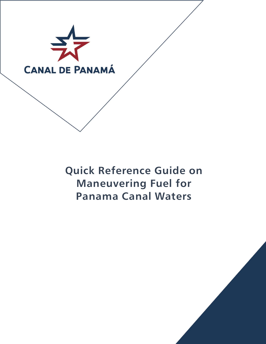

**Quick Reference Guide on Maneuvering Fuel for Panama Canal Waters**